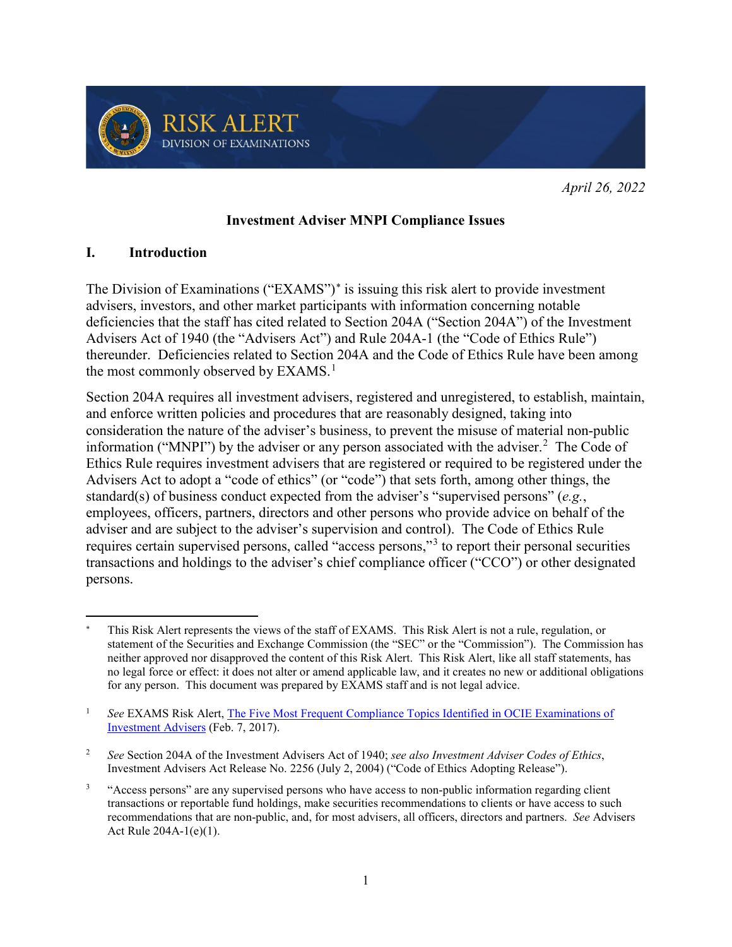

*April 26, 2022* 

# **Investment Adviser MNPI Compliance Issues**

#### **I. Introduction**

l

The Division of Examinations ("EXAMS")<sup>\*</sup> is issuing this risk alert to provide investment advisers, investors, and other market participants with information concerning notable deficiencies that the staff has cited related to Section 204A ("Section 204A") of the Investment Advisers Act of 1940 (the "Advisers Act") and Rule 204A-1 (the "Code of Ethics Rule") thereunder. Deficiencies related to Section 204A and the Code of Ethics Rule have been among the most commonly observed by  $EXAMPLE XAMS.<sup>1</sup>$  $EXAMPLE XAMS.<sup>1</sup>$  $EXAMPLE XAMS.<sup>1</sup>$ 

Section 204A requires all investment advisers, registered and unregistered, to establish, maintain, and enforce written policies and procedures that are reasonably designed, taking into consideration the nature of the adviser's business, to prevent the misuse of material non-public information ("MNPI") by the adviser or any person associated with the adviser.<sup>[2](#page-0-2)</sup> The Code of Ethics Rule requires investment advisers that are registered or required to be registered under the Advisers Act to adopt a "code of ethics" (or "code") that sets forth, among other things, the standard(s) of business conduct expected from the adviser's "supervised persons" (*e.g.*, employees, officers, partners, directors and other persons who provide advice on behalf of the adviser and are subject to the adviser's supervision and control). The Code of Ethics Rule requires certain supervised persons, called "access persons,"[3](#page-0-3) to report their personal securities transactions and holdings to the adviser's chief compliance officer ("CCO") or other designated persons.

<span id="page-0-0"></span>This Risk Alert represents the views of the staff of EXAMS. This Risk Alert is not a rule, regulation, or statement of the Securities and Exchange Commission (the "SEC" or the "Commission"). The Commission has neither approved nor disapproved the content of this Risk Alert. This Risk Alert, like all staff statements, has no legal force or effect: it does not alter or amend applicable law, and it creates no new or additional obligations for any person. This document was prepared by EXAMS staff and is not legal advice.

<span id="page-0-1"></span><sup>1</sup> *See* EXAMS Risk Alert, [The Five Most Frequent Compliance Topics Identified in OCIE Examinations of](https://www.sec.gov/ocie/Article/risk-alert-5-most-frequent-ia-compliance-topics.pdf)  [Investment Advisers](https://www.sec.gov/ocie/Article/risk-alert-5-most-frequent-ia-compliance-topics.pdf) (Feb. 7, 2017).

<span id="page-0-2"></span><sup>2</sup> *See* Section 204A of the Investment Advisers Act of 1940; *see also Investment Adviser Codes of Ethics*, Investment Advisers Act Release No. 2256 (July 2, 2004) ("Code of Ethics Adopting Release").

<span id="page-0-3"></span><sup>3</sup> "Access persons" are any supervised persons who have access to non-public information regarding client transactions or reportable fund holdings, make securities recommendations to clients or have access to such recommendations that are non-public, and, for most advisers, all officers, directors and partners. *See* Advisers Act Rule 204A-1(e)(1).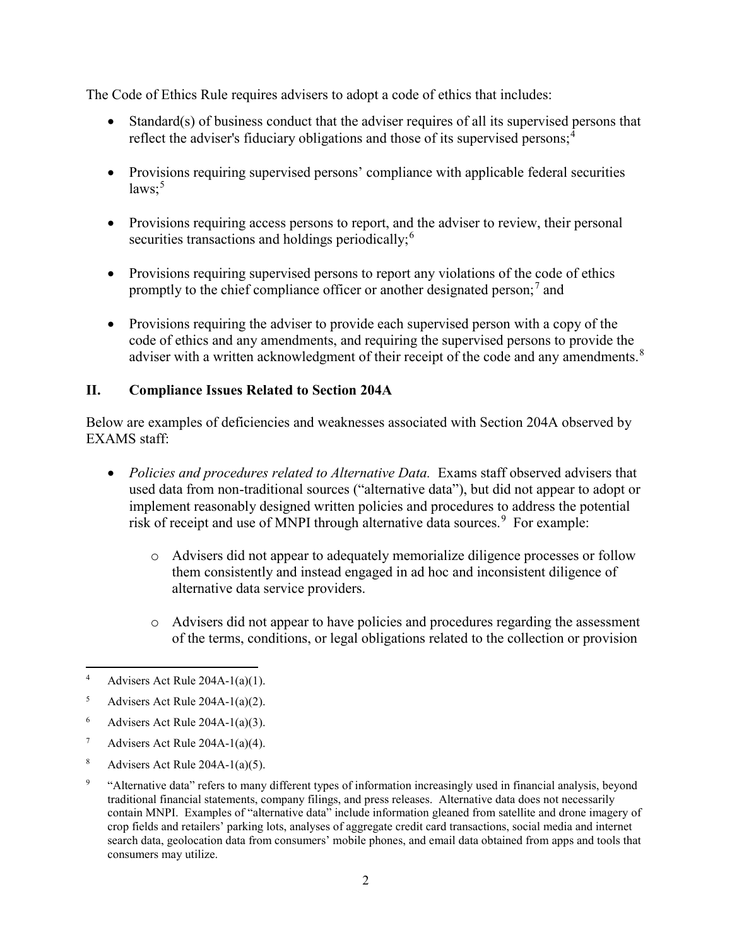The Code of Ethics Rule requires advisers to adopt a code of ethics that includes:

- Standard(s) of business conduct that the adviser requires of all its supervised persons that reflect the adviser's fiduciary obligations and those of its supervised persons;<sup>[4](#page-1-0)</sup>
- Provisions requiring supervised persons' compliance with applicable federal securities  $laws; 5$  $laws; 5$
- Provisions requiring access persons to report, and the adviser to review, their personal securities transactions and holdings periodically;  $6\frac{1}{2}$  $6\frac{1}{2}$
- Provisions requiring supervised persons to report any violations of the code of ethics promptly to the chief compliance officer or another designated person;<sup>[7](#page-1-3)</sup> and
- Provisions requiring the adviser to provide each supervised person with a copy of the code of ethics and any amendments, and requiring the supervised persons to provide the adviser with a written acknowledgment of their receipt of the code and any amendments.<sup>[8](#page-1-4)</sup>

## **II. Compliance Issues Related to Section 204A**

Below are examples of deficiencies and weaknesses associated with Section 204A observed by EXAMS staff:

- *Policies and procedures related to Alternative Data.* Exams staff observed advisers that used data from non-traditional sources ("alternative data"), but did not appear to adopt or implement reasonably designed written policies and procedures to address the potential risk of receipt and use of MNPI through alternative data sources.<sup>[9](#page-1-5)</sup> For example:
	- o Advisers did not appear to adequately memorialize diligence processes or follow them consistently and instead engaged in ad hoc and inconsistent diligence of alternative data service providers.
	- o Advisers did not appear to have policies and procedures regarding the assessment of the terms, conditions, or legal obligations related to the collection or provision

- <span id="page-1-3"></span><sup>7</sup> Advisers Act Rule 204A-1(a)(4).
- <span id="page-1-4"></span><sup>8</sup> Advisers Act Rule  $204A-1(a)(5)$ .

<span id="page-1-0"></span> $\overline{\phantom{a}}$ <sup>4</sup> Advisers Act Rule 204A-1(a)(1).

<span id="page-1-1"></span> $5$  Advisers Act Rule 204A-1(a)(2).

<span id="page-1-2"></span> $6$  Advisers Act Rule 204A-1(a)(3).

<span id="page-1-5"></span><sup>9</sup> "Alternative data" refers to many different types of information increasingly used in financial analysis, beyond traditional financial statements, company filings, and press releases. Alternative data does not necessarily contain MNPI. Examples of "alternative data" include information gleaned from satellite and drone imagery of crop fields and retailers' parking lots, analyses of aggregate credit card transactions, social media and internet search data, geolocation data from consumers' mobile phones, and email data obtained from apps and tools that consumers may utilize.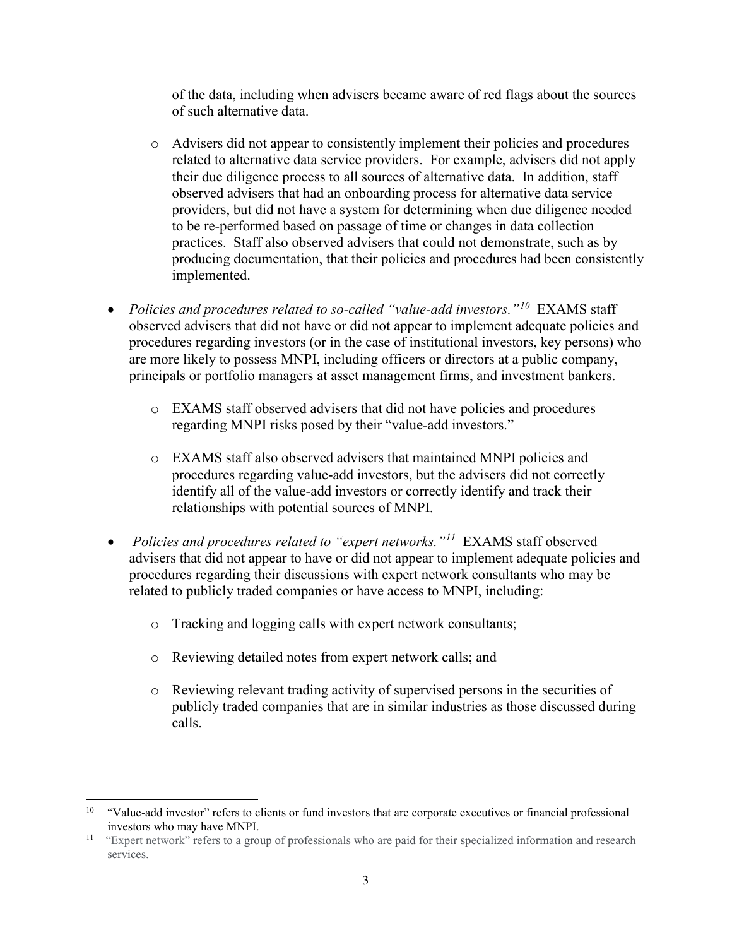of the data, including when advisers became aware of red flags about the sources of such alternative data.

- o Advisers did not appear to consistently implement their policies and procedures related to alternative data service providers. For example, advisers did not apply their due diligence process to all sources of alternative data. In addition, staff observed advisers that had an onboarding process for alternative data service providers, but did not have a system for determining when due diligence needed to be re-performed based on passage of time or changes in data collection practices. Staff also observed advisers that could not demonstrate, such as by producing documentation, that their policies and procedures had been consistently implemented.
- *Policies and procedures related to so-called "value-add investors."[10](#page-2-0)* EXAMS staff observed advisers that did not have or did not appear to implement adequate policies and procedures regarding investors (or in the case of institutional investors, key persons) who are more likely to possess MNPI, including officers or directors at a public company, principals or portfolio managers at asset management firms, and investment bankers.
	- o EXAMS staff observed advisers that did not have policies and procedures regarding MNPI risks posed by their "value-add investors."
	- o EXAMS staff also observed advisers that maintained MNPI policies and procedures regarding value-add investors, but the advisers did not correctly identify all of the value-add investors or correctly identify and track their relationships with potential sources of MNPI.
- Policies and procedures related to "expert networks."<sup>[11](#page-2-1)</sup> EXAMS staff observed advisers that did not appear to have or did not appear to implement adequate policies and procedures regarding their discussions with expert network consultants who may be related to publicly traded companies or have access to MNPI, including:
	- o Tracking and logging calls with expert network consultants;
	- o Reviewing detailed notes from expert network calls; and

l

o Reviewing relevant trading activity of supervised persons in the securities of publicly traded companies that are in similar industries as those discussed during calls.

<span id="page-2-0"></span><sup>&</sup>lt;sup>10</sup> "Value-add investor" refers to clients or fund investors that are corporate executives or financial professional investors who may have MNPI.

<span id="page-2-1"></span><sup>11 &</sup>quot;Expert network" refers to a group of professionals who are paid for their specialized information and research services.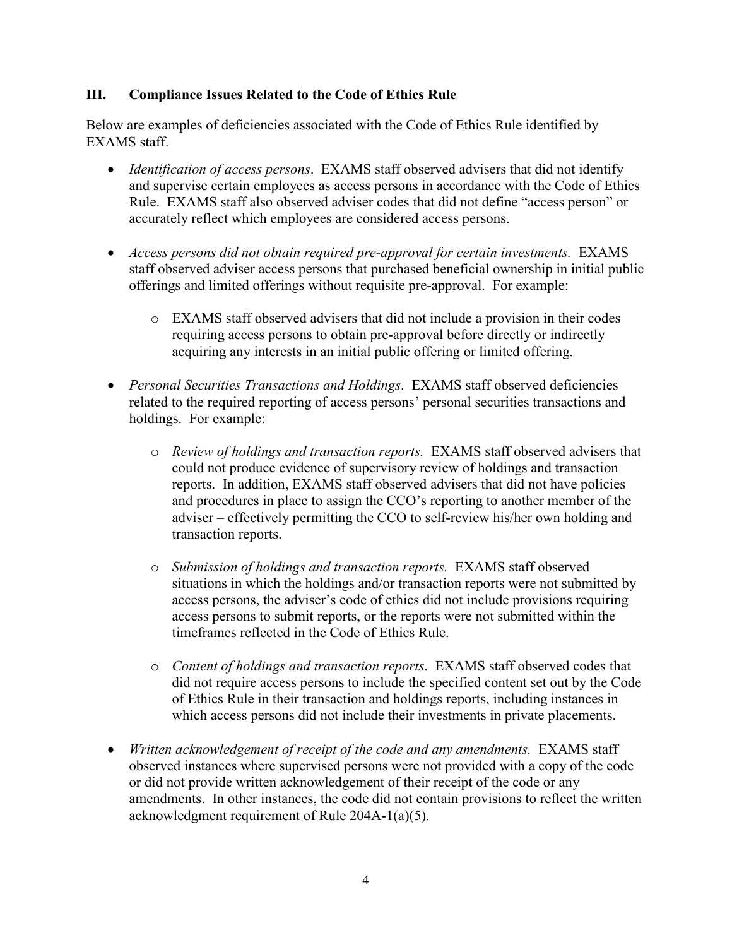#### **III. Compliance Issues Related to the Code of Ethics Rule**

Below are examples of deficiencies associated with the Code of Ethics Rule identified by EXAMS staff.

- *Identification of access persons*. EXAMS staff observed advisers that did not identify and supervise certain employees as access persons in accordance with the Code of Ethics Rule. EXAMS staff also observed adviser codes that did not define "access person" or accurately reflect which employees are considered access persons.
- *Access persons did not obtain required pre-approval for certain investments.* EXAMS staff observed adviser access persons that purchased beneficial ownership in initial public offerings and limited offerings without requisite pre-approval. For example:
	- o EXAMS staff observed advisers that did not include a provision in their codes requiring access persons to obtain pre-approval before directly or indirectly acquiring any interests in an initial public offering or limited offering.
- *Personal Securities Transactions and Holdings*. EXAMS staff observed deficiencies related to the required reporting of access persons' personal securities transactions and holdings. For example:
	- o *Review of holdings and transaction reports.* EXAMS staff observed advisers that could not produce evidence of supervisory review of holdings and transaction reports. In addition, EXAMS staff observed advisers that did not have policies and procedures in place to assign the CCO's reporting to another member of the adviser – effectively permitting the CCO to self-review his/her own holding and transaction reports.
	- o *Submission of holdings and transaction reports.* EXAMS staff observed situations in which the holdings and/or transaction reports were not submitted by access persons, the adviser's code of ethics did not include provisions requiring access persons to submit reports, or the reports were not submitted within the timeframes reflected in the Code of Ethics Rule.
	- o *Content of holdings and transaction reports*. EXAMS staff observed codes that did not require access persons to include the specified content set out by the Code of Ethics Rule in their transaction and holdings reports, including instances in which access persons did not include their investments in private placements.
- *Written acknowledgement of receipt of the code and any amendments.* EXAMS staff observed instances where supervised persons were not provided with a copy of the code or did not provide written acknowledgement of their receipt of the code or any amendments. In other instances, the code did not contain provisions to reflect the written acknowledgment requirement of Rule 204A-1(a)(5).